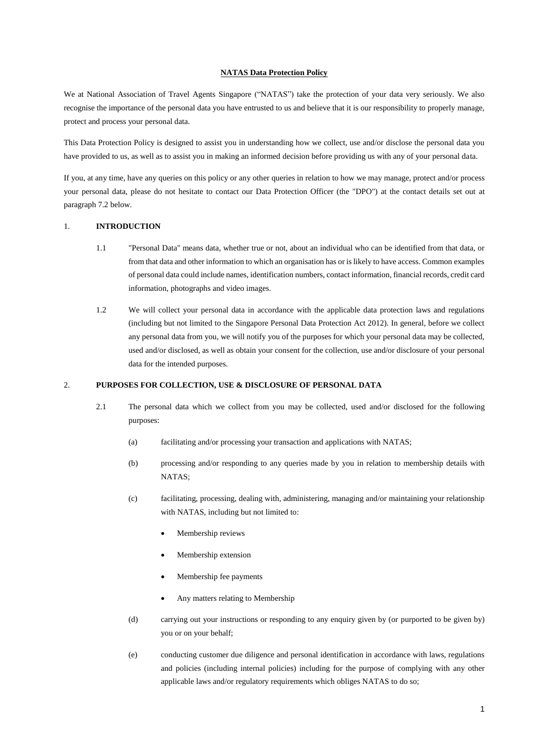#### **NATAS Data Protection Policy**

We at National Association of Travel Agents Singapore ("NATAS") take the protection of your data very seriously. We also recognise the importance of the personal data you have entrusted to us and believe that it is our responsibility to properly manage, protect and process your personal data.

This Data Protection Policy is designed to assist you in understanding how we collect, use and/or disclose the personal data you have provided to us, as well as to assist you in making an informed decision before providing us with any of your personal data.

If you, at any time, have any queries on this policy or any other queries in relation to how we may manage, protect and/or process your personal data, please do not hesitate to contact our Data Protection Officer (the "DPO") at the contact details set out at paragraph 7.2 below.

## 1. **INTRODUCTION**

- 1.1 "Personal Data" means data, whether true or not, about an individual who can be identified from that data, or from that data and other information to which an organisation has or is likely to have access. Common examples of personal data could include names, identification numbers, contact information, financial records, credit card information, photographs and video images.
- 1.2 We will collect your personal data in accordance with the applicable data protection laws and regulations (including but not limited to the Singapore Personal Data Protection Act 2012). In general, before we collect any personal data from you, we will notify you of the purposes for which your personal data may be collected, used and/or disclosed, as well as obtain your consent for the collection, use and/or disclosure of your personal data for the intended purposes.

#### 2. **PURPOSES FOR COLLECTION, USE & DISCLOSURE OF PERSONAL DATA**

- 2.1 The personal data which we collect from you may be collected, used and/or disclosed for the following purposes:
	- (a) facilitating and/or processing your transaction and applications with NATAS;
	- (b) processing and/or responding to any queries made by you in relation to membership details with NATAS;
	- (c) facilitating, processing, dealing with, administering, managing and/or maintaining your relationship with NATAS, including but not limited to:
		- Membership reviews
		- Membership extension
		- Membership fee payments
		- Any matters relating to Membership
	- (d) carrying out your instructions or responding to any enquiry given by (or purported to be given by) you or on your behalf;
	- (e) conducting customer due diligence and personal identification in accordance with laws, regulations and policies (including internal policies) including for the purpose of complying with any other applicable laws and/or regulatory requirements which obliges NATAS to do so;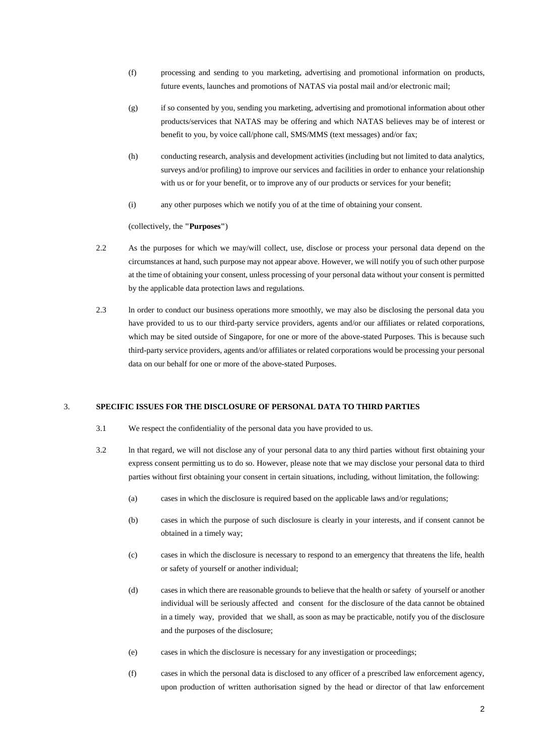- (f) processing and sending to you marketing, advertising and promotional information on products, future events, launches and promotions of NATAS via postal mail and/or electronic mail;
- (g) if so consented by you, sending you marketing, advertising and promotional information about other products/services that NATAS may be offering and which NATAS believes may be of interest or benefit to you, by voice call/phone call, SMS/MMS (text messages) and/or fax;
- (h) conducting research, analysis and development activities (including but not limited to data analytics, surveys and/or profiling) to improve our services and facilities in order to enhance your relationship with us or for your benefit, or to improve any of our products or services for your benefit;
- (i) any other purposes which we notify you of at the time of obtaining your consent.

(collectively, the **"Purposes"**)

- 2.2 As the purposes for which we may/will collect, use, disclose or process your personal data depend on the circumstances at hand, such purpose may not appear above. However, we will notify you of such other purpose at the time of obtaining your consent, unless processing of your personal data without your consent is permitted by the applicable data protection laws and regulations.
- 2.3 ln order to conduct our business operations more smoothly, we may also be disclosing the personal data you have provided to us to our third-party service providers, agents and/or our affiliates or related corporations, which may be sited outside of Singapore, for one or more of the above-stated Purposes. This is because such third-party service providers, agents and/or affiliates or related corporations would be processing your personal data on our behalf for one or more of the above-stated Purposes.

## 3. **SPECIFIC ISSUES FOR THE DISCLOSURE OF PERSONAL DATA TO THIRD PARTIES**

- 3.1 We respect the confidentiality of the personal data you have provided to us.
- 3.2 ln that regard, we will not disclose any of your personal data to any third parties without first obtaining your express consent permitting us to do so. However, please note that we may disclose your personal data to third parties without first obtaining your consent in certain situations, including, without limitation, the following:
	- (a) cases in which the disclosure is required based on the applicable laws and/or regulations;
	- (b) cases in which the purpose of such disclosure is clearly in your interests, and if consent cannot be obtained in a timely way;
	- (c) cases in which the disclosure is necessary to respond to an emergency that threatens the life, health or safety of yourself or another individual;
	- (d) cases in which there are reasonable grounds to believe that the health or safety of yourself or another individual will be seriously affected and consent for the disclosure of the data cannot be obtained in a timely way, provided that we shall, as soon as may be practicable, notify you of the disclosure and the purposes of the disclosure;
	- (e) cases in which the disclosure is necessary for any investigation or proceedings;
	- (f) cases in which the personal data is disclosed to any officer of a prescribed law enforcement agency, upon production of written authorisation signed by the head or director of that law enforcement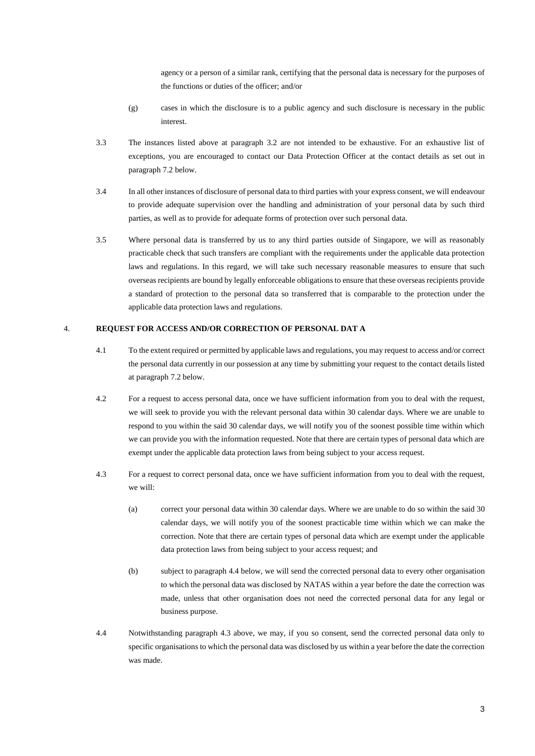agency or a person of a similar rank, certifying that the personal data is necessary for the purposes of the functions or duties of the officer; and/or

- (g) cases in which the disclosure is to a public agency and such disclosure is necessary in the public interest.
- 3.3 The instances listed above at paragraph 3.2 are not intended to be exhaustive. For an exhaustive list of exceptions, you are encouraged to contact our Data Protection Officer at the contact details as set out in paragraph 7.2 below.
- 3.4 In all other instances of disclosure of personal data to third parties with your express consent, we will endeavour to provide adequate supervision over the handling and administration of your personal data by such third parties, as well as to provide for adequate forms of protection over such personal data.
- 3.5 Where personal data is transferred by us to any third parties outside of Singapore, we will as reasonably practicable check that such transfers are compliant with the requirements under the applicable data protection laws and regulations. In this regard, we will take such necessary reasonable measures to ensure that such overseas recipients are bound by legally enforceable obligations to ensure that these overseas recipients provide a standard of protection to the personal data so transferred that is comparable to the protection under the applicable data protection laws and regulations.

# 4. **REQUEST FOR ACCESS AND/OR CORRECTION OF PERSONAL DAT A**

- 4.1 To the extent required or permitted by applicable laws and regulations, you may request to access and/or correct the personal data currently in our possession at any time by submitting your request to the contact details listed at paragraph 7.2 below.
- 4.2 For a request to access personal data, once we have sufficient information from you to deal with the request, we will seek to provide you with the relevant personal data within 30 calendar days. Where we are unable to respond to you within the said 30 calendar days, we will notify you of the soonest possible time within which we can provide you with the information requested. Note that there are certain types of personal data which are exempt under the applicable data protection laws from being subject to your access request.
- 4.3 For a request to correct personal data, once we have sufficient information from you to deal with the request, we will:
	- (a) correct your personal data within 30 calendar days. Where we are unable to do so within the said 30 calendar days, we will notify you of the soonest practicable time within which we can make the correction. Note that there are certain types of personal data which are exempt under the applicable data protection laws from being subject to your access request; and
	- (b) subject to paragraph 4.4 below, we will send the corrected personal data to every other organisation to which the personal data was disclosed by NATAS within a year before the date the correction was made, unless that other organisation does not need the corrected personal data for any legal or business purpose.
- 4.4 Notwithstanding paragraph 4.3 above, we may, if you so consent, send the corrected personal data only to specific organisations to which the personal data was disclosed by us within a year before the date the correction was made.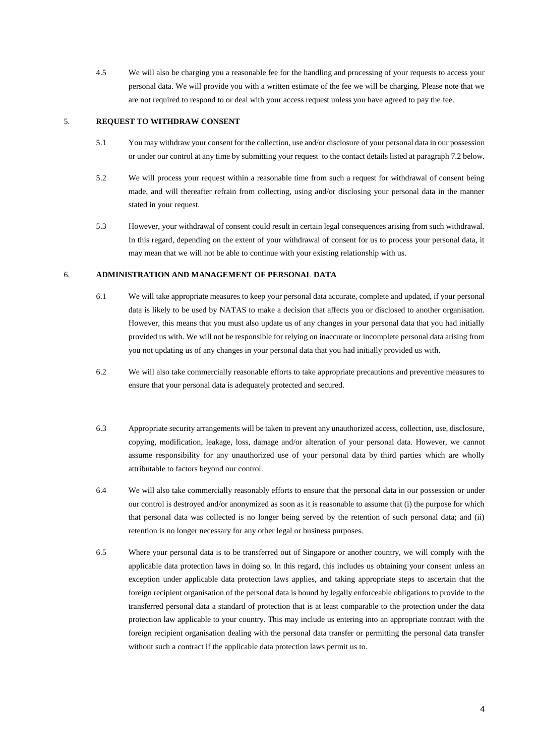4.5 We will also be charging you a reasonable fee for the handling and processing of your requests to access your personal data. We will provide you with a written estimate of the fee we will be charging. Please note that we are not required to respond to or deal with your access request unless you have agreed to pay the fee.

### 5. **REQUEST TO WITHDRAW CONSENT**

- 5.1 You may withdraw your consent for the collection, use and/or disclosure of your personal data in our possession or under our control at any time by submitting your request to the contact details listed at paragraph 7.2 below.
- 5.2 We will process your request within a reasonable time from such a request for withdrawal of consent being made, and will thereafter refrain from collecting, using and/or disclosing your personal data in the manner stated in your request.
- 5.3 However, your withdrawal of consent could result in certain legal consequences arising from such withdrawal. In this regard, depending on the extent of your withdrawal of consent for us to process your personal data, it may mean that we will not be able to continue with your existing relationship with us.

#### 6. **ADMINISTRATION AND MANAGEMENT OF PERSONAL DATA**

- 6.1 We will take appropriate measures to keep your personal data accurate, complete and updated, if your personal data is likely to be used by NATAS to make a decision that affects you or disclosed to another organisation. However, this means that you must also update us of any changes in your personal data that you had initially provided us with. We will not be responsible for relying on inaccurate or incomplete personal data arising from you not updating us of any changes in your personal data that you had initially provided us with.
- 6.2 We will also take commercially reasonable efforts to take appropriate precautions and preventive measures to ensure that your personal data is adequately protected and secured.
- 6.3 Appropriate security arrangements will be taken to prevent any unauthorized access, collection, use, disclosure, copying, modification, leakage, loss, damage and/or alteration of your personal data. However, we cannot assume responsibility for any unauthorized use of your personal data by third parties which are wholly attributable to factors beyond our control.
- 6.4 We will also take commercially reasonably efforts to ensure that the personal data in our possession or under our control is destroyed and/or anonymized as soon as it is reasonable to assume that (i) the purpose for which that personal data was collected is no longer being served by the retention of such personal data; and (ii) retention is no longer necessary for any other legal or business purposes.
- 6.5 Where your personal data is to be transferred out of Singapore or another country, we will comply with the applicable data protection laws in doing so. ln this regard, this includes us obtaining your consent unless an exception under applicable data protection laws applies, and taking appropriate steps to ascertain that the foreign recipient organisation of the personal data is bound by legally enforceable obligations to provide to the transferred personal data a standard of protection that is at least comparable to the protection under the data protection law applicable to your country. This may include us entering into an appropriate contract with the foreign recipient organisation dealing with the personal data transfer or permitting the personal data transfer without such a contract if the applicable data protection laws permit us to.